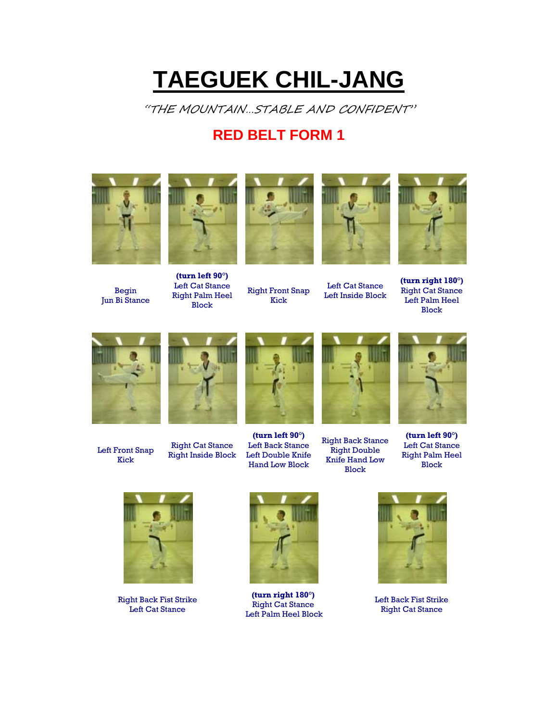## **TAEGUEK CHIL-JANG**

"THE MOUNTAIN…STABLE AND CONFIDENT"

## **RED BELT FORM 1**





Begin Jun Bi Stance



Left Cat Stance Right Palm Heel Block



Right Front Snap Kick



Left Cat Stance Left Inside Block



**(turn right 180°)** Right Cat Stance Left Palm Heel Block



Left Front Snap Kick



Right Cat Stance Right Inside Block Left Double Knife



**(turn left 90°)** Left Back Stance Hand Low Block



Right Back Stance Right Double Knife Hand Low Block



**(turn left 90°)** Left Cat Stance Right Palm Heel Block



Right Back Fist Strike Left Cat Stance



**(turn right 180°)** Right Cat Stance Left Palm Heel Block



Left Back Fist Strike Right Cat Stance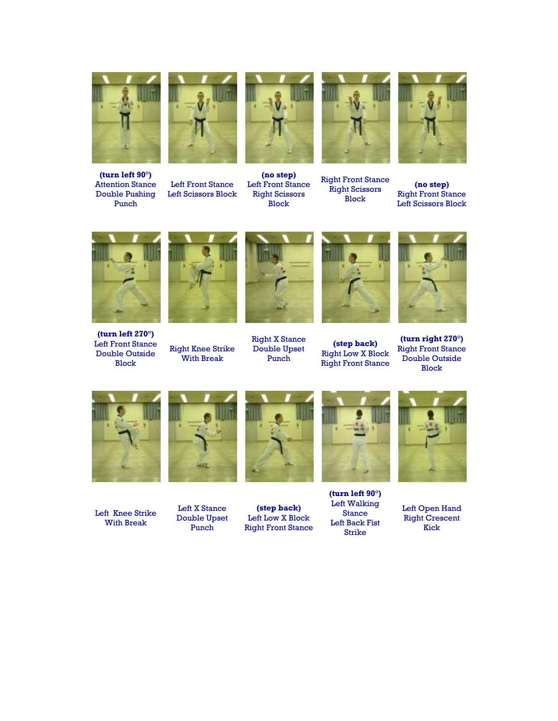

**(turn left 90°)** Attention Stance Double Pushing Punch



Left Front Stance Left Scissors Block



**(no step)** Left Front Stance Right Scissors Block



Right Front Stance Right Scissors Block



**(no step)** Right Front Stance Left Scissors Block



**(turn left 270°)** Left Front Stance Double Outside Block



Right Knee Strike With Break



Right X Stance Double Upset Punch



**(step back)** Right Low X Block Right Front Stance



**(turn right 270°)** Right Front Stance Double Outside Block



Left Knee Strike With Break



Left X Stance Double Upset Punch



**(step back)** Left Low X Block Right Front Stance



**(turn left 90°)** Left Walking Stance Left Back Fist Strike



Left Open Hand Right Crescent Kick